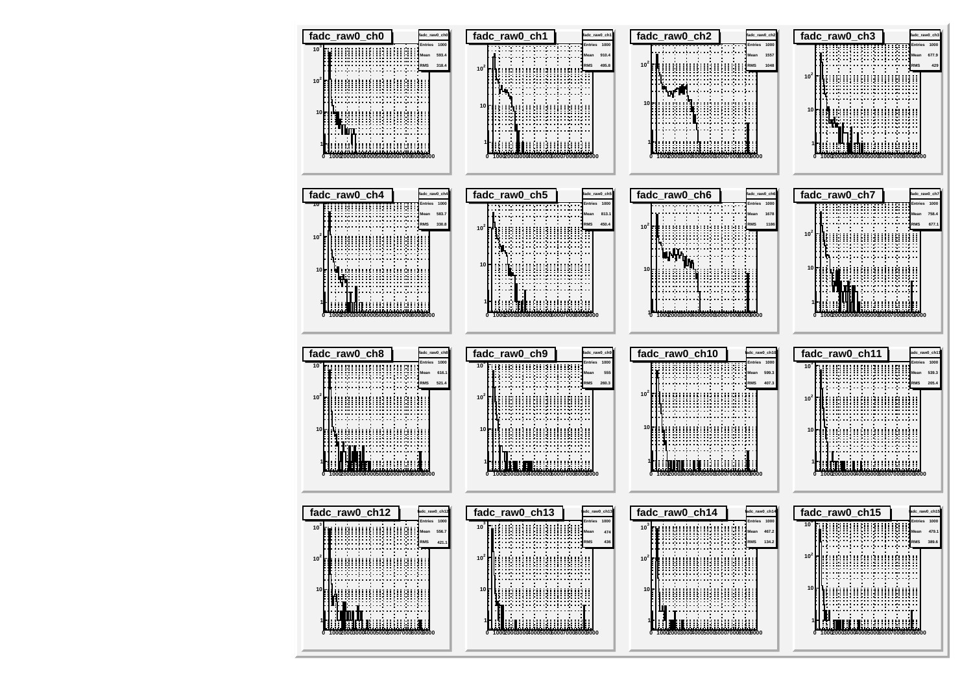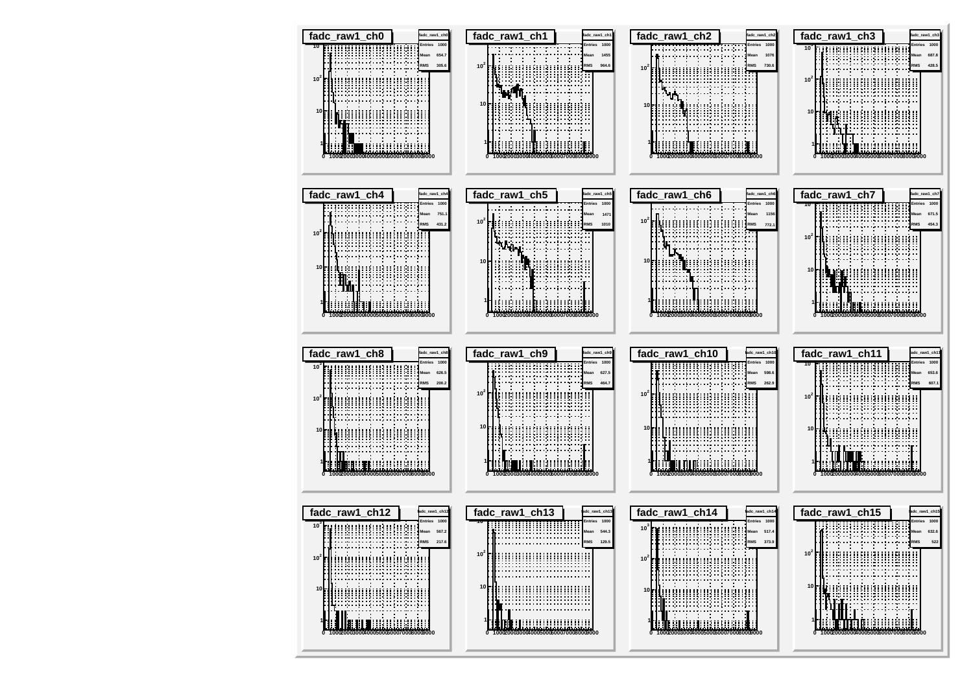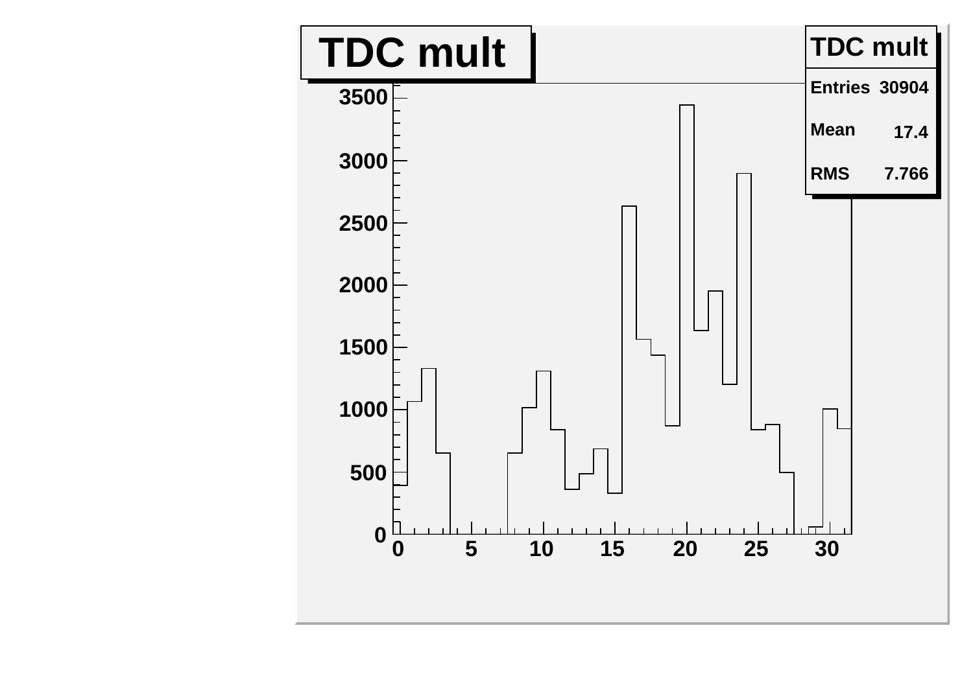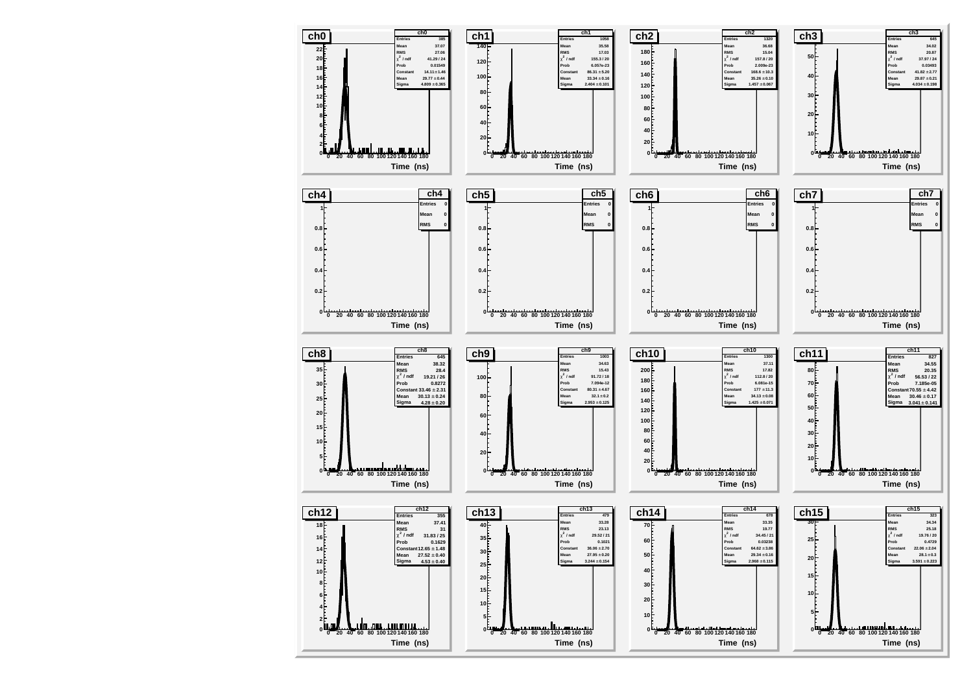